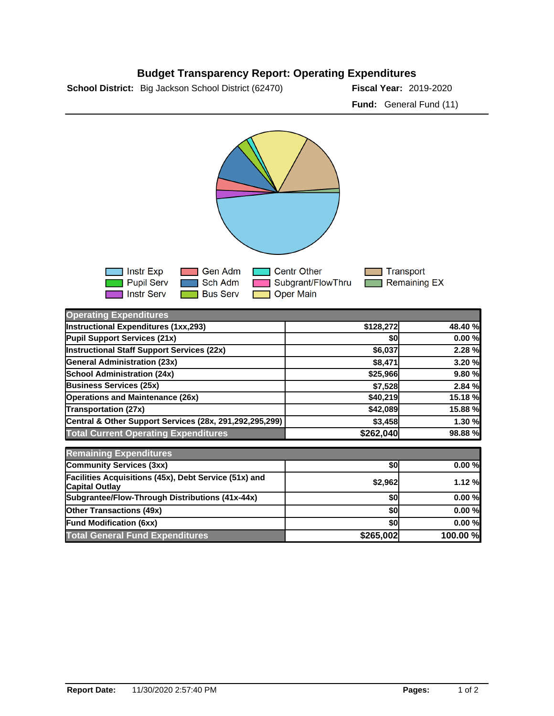

## **Budget Transparency Report: Operating Expenditures**

| Instr Exp<br><b>T</b> Pupil Serv<br><b>Instr Serv</b> | l Gen Adm<br>l Sch Adm<br><b>Bus Serv</b> | <b>1 Centr Other</b><br>Subgrant/FlowThru<br><b>T</b> Oper Main |           | Transport<br>$\sqcap$ Remaining EX |         |
|-------------------------------------------------------|-------------------------------------------|-----------------------------------------------------------------|-----------|------------------------------------|---------|
| <b>Operating Expenditures</b>                         |                                           |                                                                 |           |                                    |         |
| Instructional Expenditures (1xx,293)                  |                                           |                                                                 | \$128,272 |                                    | 48.40 % |
| <b>Pupil Support Services (21x)</b>                   |                                           |                                                                 | \$0       |                                    | 0.00%   |

| งบ        | $0.00 \%$ |
|-----------|-----------|
| \$6,037   | 2.28 %    |
| \$8,471   | 3.20 %    |
| \$25,966  | 9.80 %    |
| \$7,528   | 2.84 %    |
| \$40,219  | 15.18%    |
| \$42,089  | 15.88%    |
| \$3,458   | 1.30 %    |
| \$262,040 | 98.88 %   |
|           |           |
|           |           |

| <b>INSTRUCTION CAPS INCORPORATION</b>                                          |           |          |
|--------------------------------------------------------------------------------|-----------|----------|
| <b>Community Services (3xx)</b>                                                | 50        | 0.00%    |
| Facilities Acquisitions (45x), Debt Service (51x) and<br><b>Capital Outlay</b> | \$2,962   | 1.12%    |
| Subgrantee/Flow-Through Distributions (41x-44x)                                | \$0       | 0.00%    |
| <b>Other Transactions (49x)</b>                                                | \$0       | 0.00%    |
| <b>Fund Modification (6xx)</b>                                                 |           | 0.00%    |
| <b>Total General Fund Expenditures</b>                                         | \$265,002 | 100.00 % |